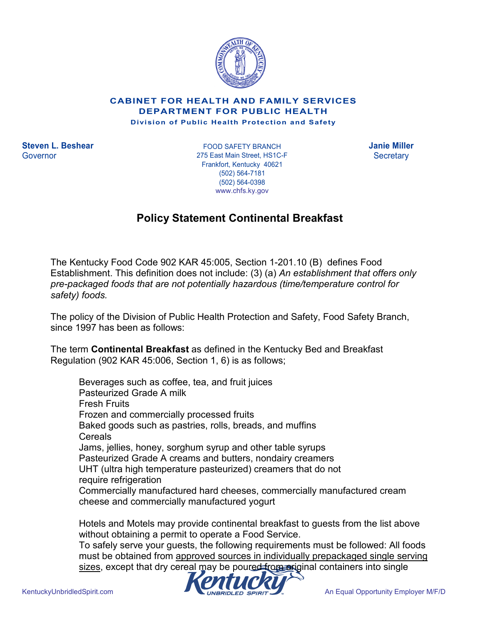

CABINET FOR HEALTH AND FAMILY SERVICES DEPARTMENT FOR PUBLIC HEALTH

Division of Public Health Protection and Safety

Steven L. Beshear Janie Miller FOOD SAFETY BRANCH Governor Secretary 275 East Main Street, HS1C-F Frankfort, Kentucky 40621 (502) 564-7181 (502) 564-0398 www.chfs.ky.gov

## Policy Statement Continental Breakfast

The Kentucky Food Code 902 KAR 45:005, Section 1-201.10 (B) defines Food Establishment. This definition does not include: (3) (a) An establishment that offers only pre-packaged foods that are not potentially hazardous (time/temperature control for safety) foods.

The policy of the Division of Public Health Protection and Safety, Food Safety Branch, since 1997 has been as follows:

The term Continental Breakfast as defined in the Kentucky Bed and Breakfast Regulation (902 KAR 45:006, Section 1, 6) is as follows;

 Beverages such as coffee, tea, and fruit juices Pasteurized Grade A milk Fresh Fruits Frozen and commercially processed fruits Baked goods such as pastries, rolls, breads, and muffins **Cereals**  Jams, jellies, honey, sorghum syrup and other table syrups Pasteurized Grade A creams and butters, nondairy creamers UHT (ultra high temperature pasteurized) creamers that do not require refrigeration Commercially manufactured hard cheeses, commercially manufactured cream cheese and commercially manufactured yogurt

Hotels and Motels may provide continental breakfast to guests from the list above without obtaining a permit to operate a Food Service.

To safely serve your guests, the following requirements must be followed: All foods must be obtained from approved sources in individually prepackaged single serving sizes, except that dry cereal may be poured from original containers into single